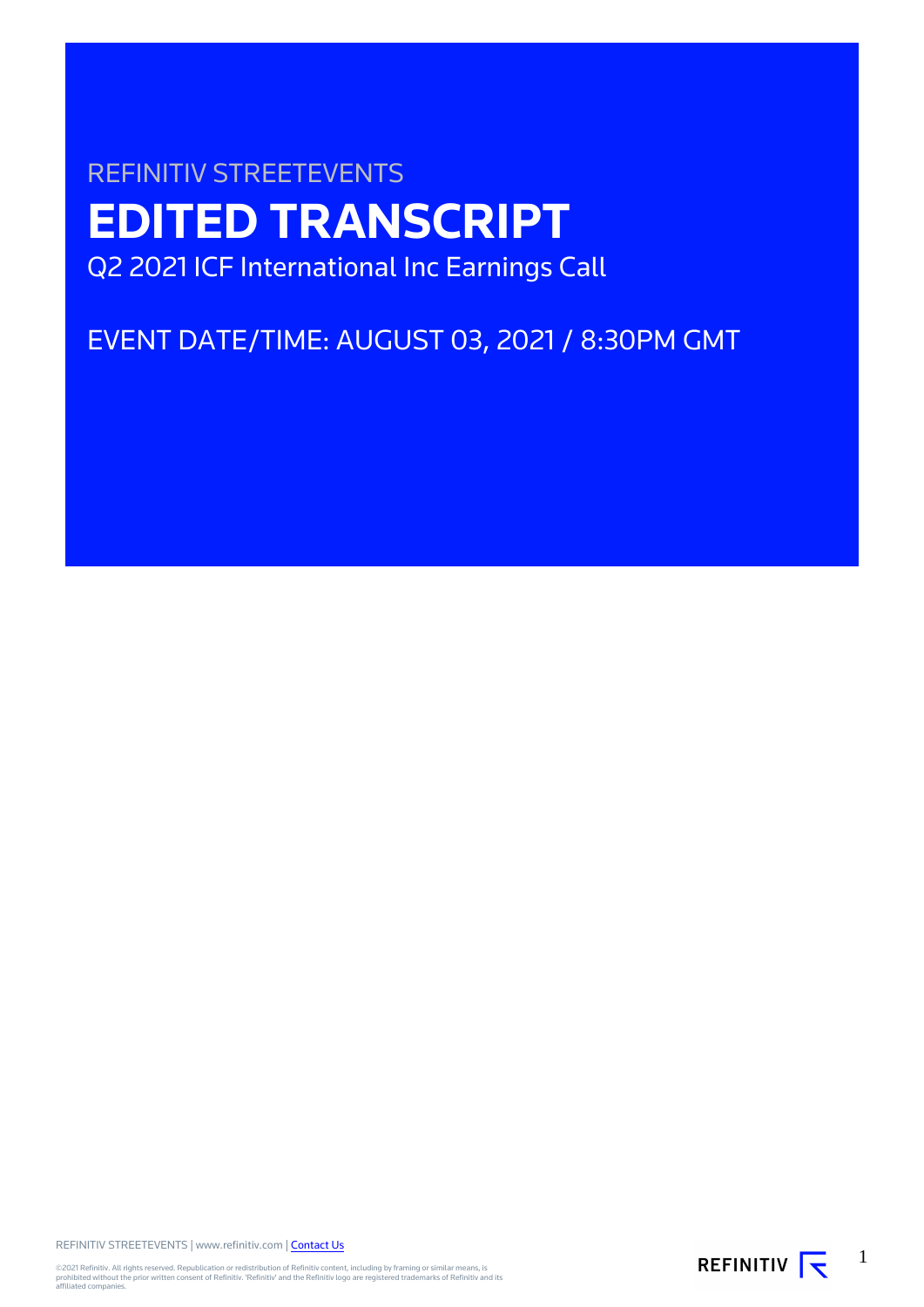# REFINITIV STREETEVENTS **EDITED TRANSCRIPT** Q2 2021 ICF International Inc Earnings Call

## EVENT DATE/TIME: AUGUST 03, 2021 / 8:30PM GMT

REFINITIV STREETEVENTS | www.refinitiv.com | [Contact Us](https://www.refinitiv.com/en/contact-us)

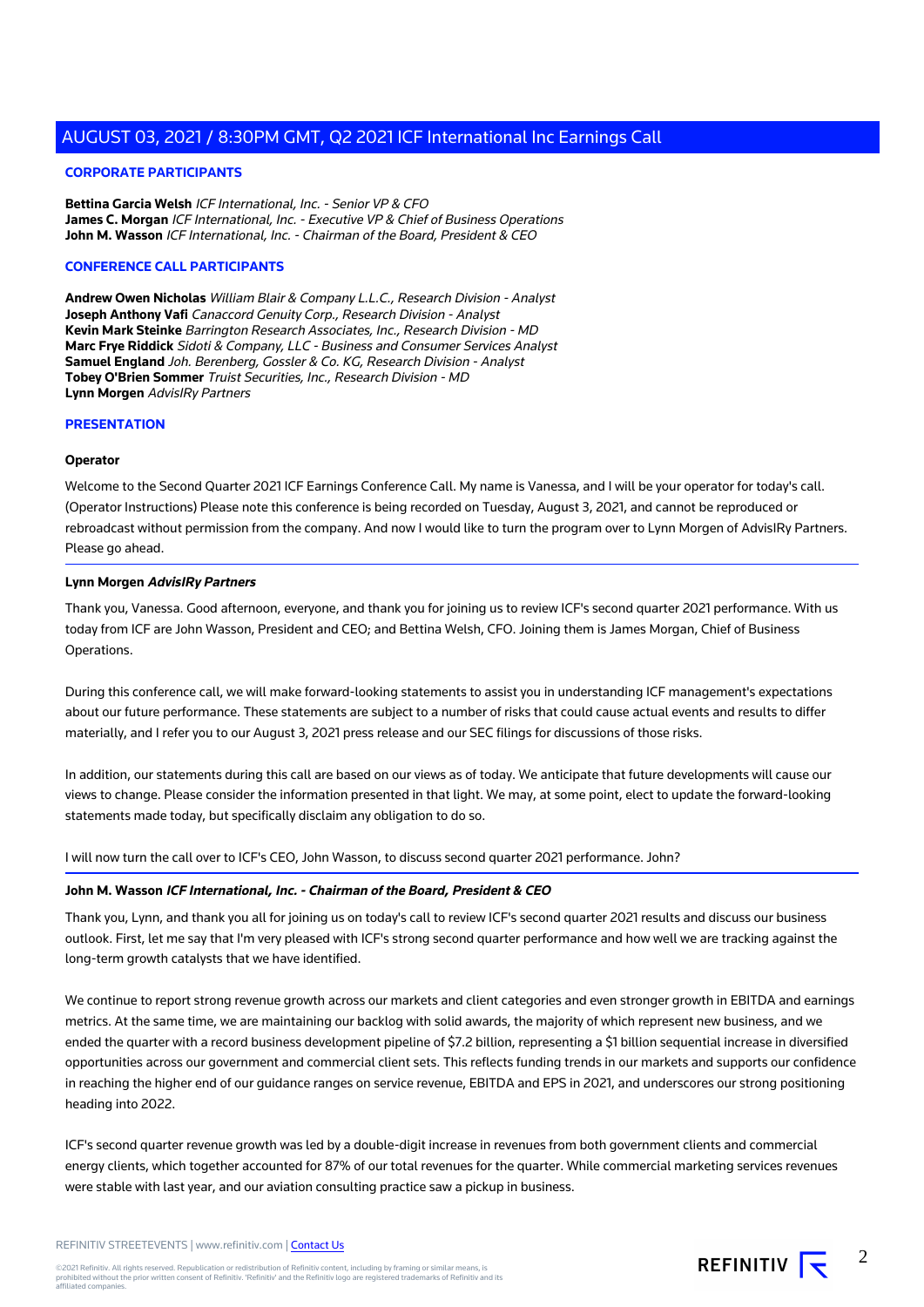#### **CORPORATE PARTICIPANTS**

**Bettina Garcia Welsh** ICF International, Inc. - Senior VP & CFO **James C. Morgan** ICF International, Inc. - Executive VP & Chief of Business Operations **John M. Wasson** ICF International, Inc. - Chairman of the Board, President & CEO

#### **CONFERENCE CALL PARTICIPANTS**

**Andrew Owen Nicholas** William Blair & Company L.L.C., Research Division - Analyst **Joseph Anthony Vafi** Canaccord Genuity Corp., Research Division - Analyst **Kevin Mark Steinke** Barrington Research Associates, Inc., Research Division - MD **Marc Frye Riddick** Sidoti & Company, LLC - Business and Consumer Services Analyst **Samuel England** Joh. Berenberg, Gossler & Co. KG, Research Division - Analyst **Tobey O'Brien Sommer** Truist Securities, Inc., Research Division - MD **Lynn Morgen** AdvisIRy Partners

#### **PRESENTATION**

#### **Operator**

Welcome to the Second Quarter 2021 ICF Earnings Conference Call. My name is Vanessa, and I will be your operator for today's call. (Operator Instructions) Please note this conference is being recorded on Tuesday, August 3, 2021, and cannot be reproduced or rebroadcast without permission from the company. And now I would like to turn the program over to Lynn Morgen of AdvisIRy Partners. Please go ahead.

#### **Lynn Morgen AdvisIRy Partners**

Thank you, Vanessa. Good afternoon, everyone, and thank you for joining us to review ICF's second quarter 2021 performance. With us today from ICF are John Wasson, President and CEO; and Bettina Welsh, CFO. Joining them is James Morgan, Chief of Business Operations.

During this conference call, we will make forward-looking statements to assist you in understanding ICF management's expectations about our future performance. These statements are subject to a number of risks that could cause actual events and results to differ materially, and I refer you to our August 3, 2021 press release and our SEC filings for discussions of those risks.

In addition, our statements during this call are based on our views as of today. We anticipate that future developments will cause our views to change. Please consider the information presented in that light. We may, at some point, elect to update the forward-looking statements made today, but specifically disclaim any obligation to do so.

I will now turn the call over to ICF's CEO, John Wasson, to discuss second quarter 2021 performance. John?

#### **John M. Wasson ICF International, Inc. - Chairman of the Board, President & CEO**

Thank you, Lynn, and thank you all for joining us on today's call to review ICF's second quarter 2021 results and discuss our business outlook. First, let me say that I'm very pleased with ICF's strong second quarter performance and how well we are tracking against the long-term growth catalysts that we have identified.

We continue to report strong revenue growth across our markets and client categories and even stronger growth in EBITDA and earnings metrics. At the same time, we are maintaining our backlog with solid awards, the majority of which represent new business, and we ended the quarter with a record business development pipeline of \$7.2 billion, representing a \$1 billion sequential increase in diversified opportunities across our government and commercial client sets. This reflects funding trends in our markets and supports our confidence in reaching the higher end of our guidance ranges on service revenue, EBITDA and EPS in 2021, and underscores our strong positioning heading into 2022.

ICF's second quarter revenue growth was led by a double-digit increase in revenues from both government clients and commercial energy clients, which together accounted for 87% of our total revenues for the quarter. While commercial marketing services revenues were stable with last year, and our aviation consulting practice saw a pickup in business.

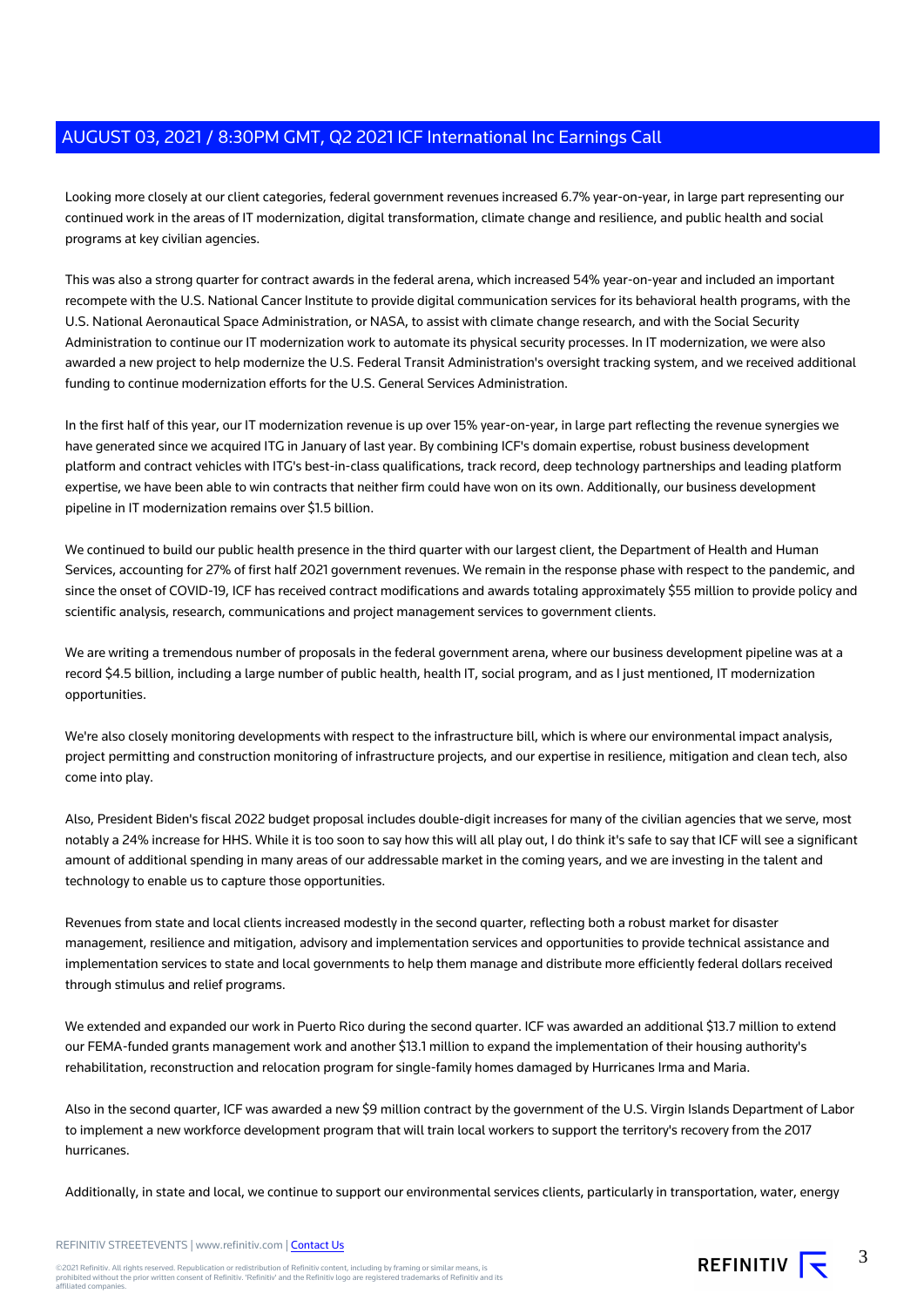Looking more closely at our client categories, federal government revenues increased 6.7% year-on-year, in large part representing our continued work in the areas of IT modernization, digital transformation, climate change and resilience, and public health and social programs at key civilian agencies.

This was also a strong quarter for contract awards in the federal arena, which increased 54% year-on-year and included an important recompete with the U.S. National Cancer Institute to provide digital communication services for its behavioral health programs, with the U.S. National Aeronautical Space Administration, or NASA, to assist with climate change research, and with the Social Security Administration to continue our IT modernization work to automate its physical security processes. In IT modernization, we were also awarded a new project to help modernize the U.S. Federal Transit Administration's oversight tracking system, and we received additional funding to continue modernization efforts for the U.S. General Services Administration.

In the first half of this year, our IT modernization revenue is up over 15% year-on-year, in large part reflecting the revenue synergies we have generated since we acquired ITG in January of last year. By combining ICF's domain expertise, robust business development platform and contract vehicles with ITG's best-in-class qualifications, track record, deep technology partnerships and leading platform expertise, we have been able to win contracts that neither firm could have won on its own. Additionally, our business development pipeline in IT modernization remains over \$1.5 billion.

We continued to build our public health presence in the third quarter with our largest client, the Department of Health and Human Services, accounting for 27% of first half 2021 government revenues. We remain in the response phase with respect to the pandemic, and since the onset of COVID-19, ICF has received contract modifications and awards totaling approximately \$55 million to provide policy and scientific analysis, research, communications and project management services to government clients.

We are writing a tremendous number of proposals in the federal government arena, where our business development pipeline was at a record \$4.5 billion, including a large number of public health, health IT, social program, and as I just mentioned, IT modernization opportunities.

We're also closely monitoring developments with respect to the infrastructure bill, which is where our environmental impact analysis, project permitting and construction monitoring of infrastructure projects, and our expertise in resilience, mitigation and clean tech, also come into play.

Also, President Biden's fiscal 2022 budget proposal includes double-digit increases for many of the civilian agencies that we serve, most notably a 24% increase for HHS. While it is too soon to say how this will all play out, I do think it's safe to say that ICF will see a significant amount of additional spending in many areas of our addressable market in the coming years, and we are investing in the talent and technology to enable us to capture those opportunities.

Revenues from state and local clients increased modestly in the second quarter, reflecting both a robust market for disaster management, resilience and mitigation, advisory and implementation services and opportunities to provide technical assistance and implementation services to state and local governments to help them manage and distribute more efficiently federal dollars received through stimulus and relief programs.

We extended and expanded our work in Puerto Rico during the second quarter. ICF was awarded an additional \$13.7 million to extend our FEMA-funded grants management work and another \$13.1 million to expand the implementation of their housing authority's rehabilitation, reconstruction and relocation program for single-family homes damaged by Hurricanes Irma and Maria.

Also in the second quarter, ICF was awarded a new \$9 million contract by the government of the U.S. Virgin Islands Department of Labor to implement a new workforce development program that will train local workers to support the territory's recovery from the 2017 hurricanes.

Additionally, in state and local, we continue to support our environmental services clients, particularly in transportation, water, energy

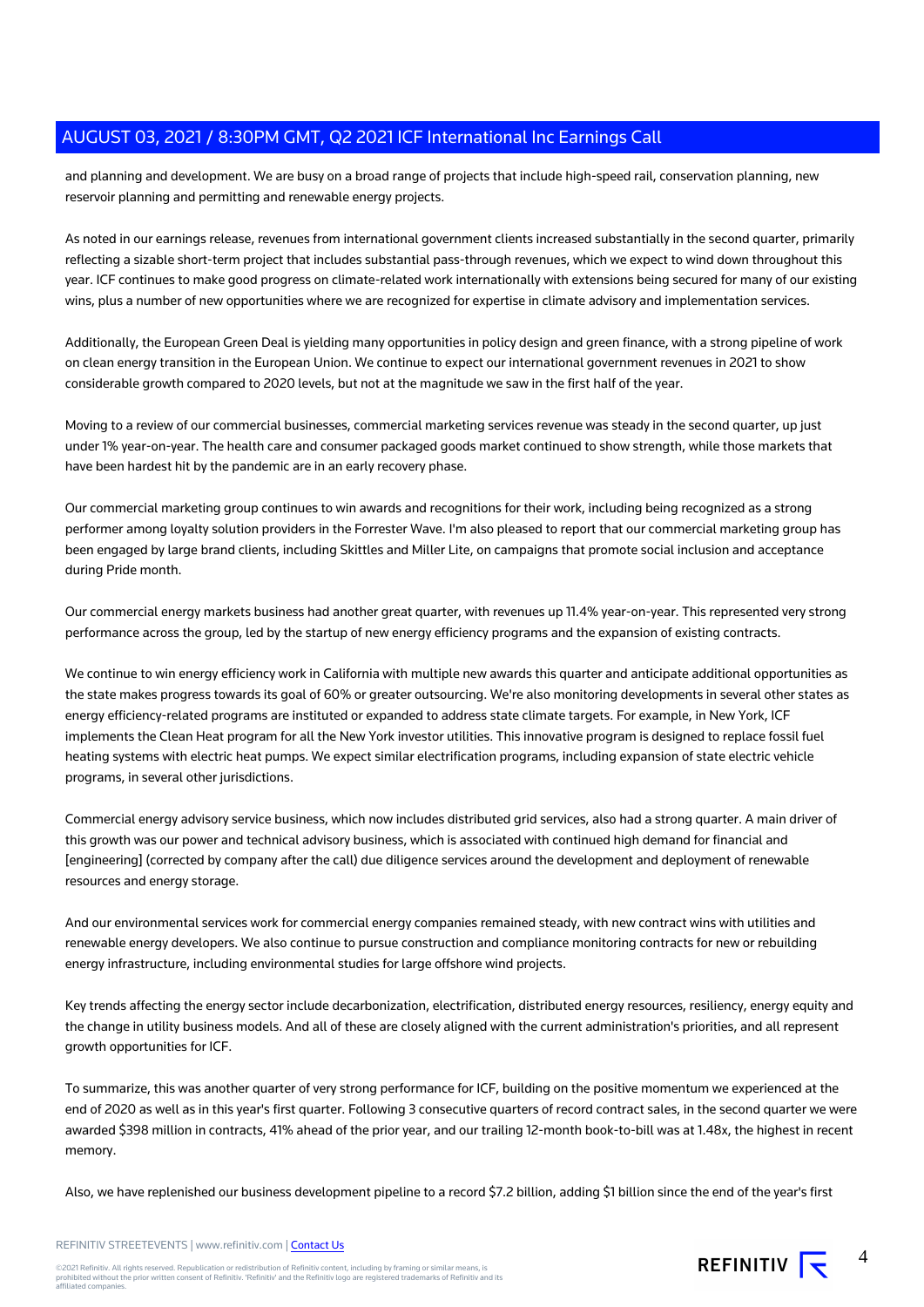and planning and development. We are busy on a broad range of projects that include high-speed rail, conservation planning, new reservoir planning and permitting and renewable energy projects.

As noted in our earnings release, revenues from international government clients increased substantially in the second quarter, primarily reflecting a sizable short-term project that includes substantial pass-through revenues, which we expect to wind down throughout this year. ICF continues to make good progress on climate-related work internationally with extensions being secured for many of our existing wins, plus a number of new opportunities where we are recognized for expertise in climate advisory and implementation services.

Additionally, the European Green Deal is yielding many opportunities in policy design and green finance, with a strong pipeline of work on clean energy transition in the European Union. We continue to expect our international government revenues in 2021 to show considerable growth compared to 2020 levels, but not at the magnitude we saw in the first half of the year.

Moving to a review of our commercial businesses, commercial marketing services revenue was steady in the second quarter, up just under 1% year-on-year. The health care and consumer packaged goods market continued to show strength, while those markets that have been hardest hit by the pandemic are in an early recovery phase.

Our commercial marketing group continues to win awards and recognitions for their work, including being recognized as a strong performer among loyalty solution providers in the Forrester Wave. I'm also pleased to report that our commercial marketing group has been engaged by large brand clients, including Skittles and Miller Lite, on campaigns that promote social inclusion and acceptance during Pride month.

Our commercial energy markets business had another great quarter, with revenues up 11.4% year-on-year. This represented very strong performance across the group, led by the startup of new energy efficiency programs and the expansion of existing contracts.

We continue to win energy efficiency work in California with multiple new awards this quarter and anticipate additional opportunities as the state makes progress towards its goal of 60% or greater outsourcing. We're also monitoring developments in several other states as energy efficiency-related programs are instituted or expanded to address state climate targets. For example, in New York, ICF implements the Clean Heat program for all the New York investor utilities. This innovative program is designed to replace fossil fuel heating systems with electric heat pumps. We expect similar electrification programs, including expansion of state electric vehicle programs, in several other jurisdictions.

Commercial energy advisory service business, which now includes distributed grid services, also had a strong quarter. A main driver of this growth was our power and technical advisory business, which is associated with continued high demand for financial and [engineering] (corrected by company after the call) due diligence services around the development and deployment of renewable resources and energy storage.

And our environmental services work for commercial energy companies remained steady, with new contract wins with utilities and renewable energy developers. We also continue to pursue construction and compliance monitoring contracts for new or rebuilding energy infrastructure, including environmental studies for large offshore wind projects.

Key trends affecting the energy sector include decarbonization, electrification, distributed energy resources, resiliency, energy equity and the change in utility business models. And all of these are closely aligned with the current administration's priorities, and all represent growth opportunities for ICF.

To summarize, this was another quarter of very strong performance for ICF, building on the positive momentum we experienced at the end of 2020 as well as in this year's first quarter. Following 3 consecutive quarters of record contract sales, in the second quarter we were awarded \$398 million in contracts, 41% ahead of the prior year, and our trailing 12-month book-to-bill was at 1.48x, the highest in recent memory.

Also, we have replenished our business development pipeline to a record \$7.2 billion, adding \$1 billion since the end of the year's first

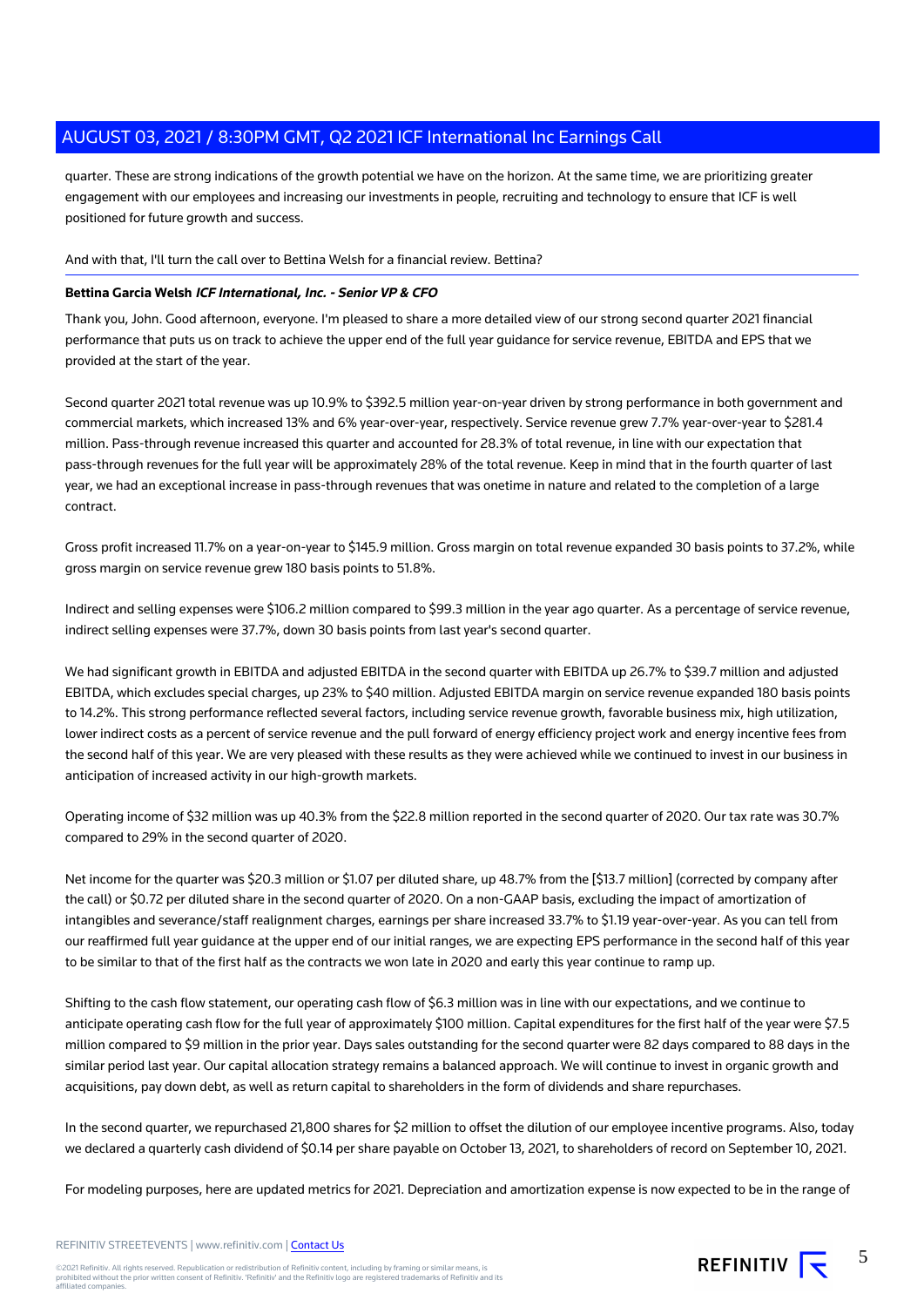quarter. These are strong indications of the growth potential we have on the horizon. At the same time, we are prioritizing greater engagement with our employees and increasing our investments in people, recruiting and technology to ensure that ICF is well positioned for future growth and success.

And with that, I'll turn the call over to Bettina Welsh for a financial review. Bettina?

#### **Bettina Garcia Welsh ICF International, Inc. - Senior VP & CFO**

Thank you, John. Good afternoon, everyone. I'm pleased to share a more detailed view of our strong second quarter 2021 financial performance that puts us on track to achieve the upper end of the full year guidance for service revenue, EBITDA and EPS that we provided at the start of the year.

Second quarter 2021 total revenue was up 10.9% to \$392.5 million year-on-year driven by strong performance in both government and commercial markets, which increased 13% and 6% year-over-year, respectively. Service revenue grew 7.7% year-over-year to \$281.4 million. Pass-through revenue increased this quarter and accounted for 28.3% of total revenue, in line with our expectation that pass-through revenues for the full year will be approximately 28% of the total revenue. Keep in mind that in the fourth quarter of last year, we had an exceptional increase in pass-through revenues that was onetime in nature and related to the completion of a large contract.

Gross profit increased 11.7% on a year-on-year to \$145.9 million. Gross margin on total revenue expanded 30 basis points to 37.2%, while gross margin on service revenue grew 180 basis points to 51.8%.

Indirect and selling expenses were \$106.2 million compared to \$99.3 million in the year ago quarter. As a percentage of service revenue, indirect selling expenses were 37.7%, down 30 basis points from last year's second quarter.

We had significant growth in EBITDA and adjusted EBITDA in the second quarter with EBITDA up 26.7% to \$39.7 million and adjusted EBITDA, which excludes special charges, up 23% to \$40 million. Adjusted EBITDA margin on service revenue expanded 180 basis points to 14.2%. This strong performance reflected several factors, including service revenue growth, favorable business mix, high utilization, lower indirect costs as a percent of service revenue and the pull forward of energy efficiency project work and energy incentive fees from the second half of this year. We are very pleased with these results as they were achieved while we continued to invest in our business in anticipation of increased activity in our high-growth markets.

Operating income of \$32 million was up 40.3% from the \$22.8 million reported in the second quarter of 2020. Our tax rate was 30.7% compared to 29% in the second quarter of 2020.

Net income for the quarter was \$20.3 million or \$1.07 per diluted share, up 48.7% from the [\$13.7 million] (corrected by company after the call) or \$0.72 per diluted share in the second quarter of 2020. On a non-GAAP basis, excluding the impact of amortization of intangibles and severance/staff realignment charges, earnings per share increased 33.7% to \$1.19 year-over-year. As you can tell from our reaffirmed full year guidance at the upper end of our initial ranges, we are expecting EPS performance in the second half of this year to be similar to that of the first half as the contracts we won late in 2020 and early this year continue to ramp up.

Shifting to the cash flow statement, our operating cash flow of \$6.3 million was in line with our expectations, and we continue to anticipate operating cash flow for the full year of approximately \$100 million. Capital expenditures for the first half of the year were \$7.5 million compared to \$9 million in the prior year. Days sales outstanding for the second quarter were 82 days compared to 88 days in the similar period last year. Our capital allocation strategy remains a balanced approach. We will continue to invest in organic growth and acquisitions, pay down debt, as well as return capital to shareholders in the form of dividends and share repurchases.

In the second quarter, we repurchased 21,800 shares for \$2 million to offset the dilution of our employee incentive programs. Also, today we declared a quarterly cash dividend of \$0.14 per share payable on October 13, 2021, to shareholders of record on September 10, 2021.

For modeling purposes, here are updated metrics for 2021. Depreciation and amortization expense is now expected to be in the range of

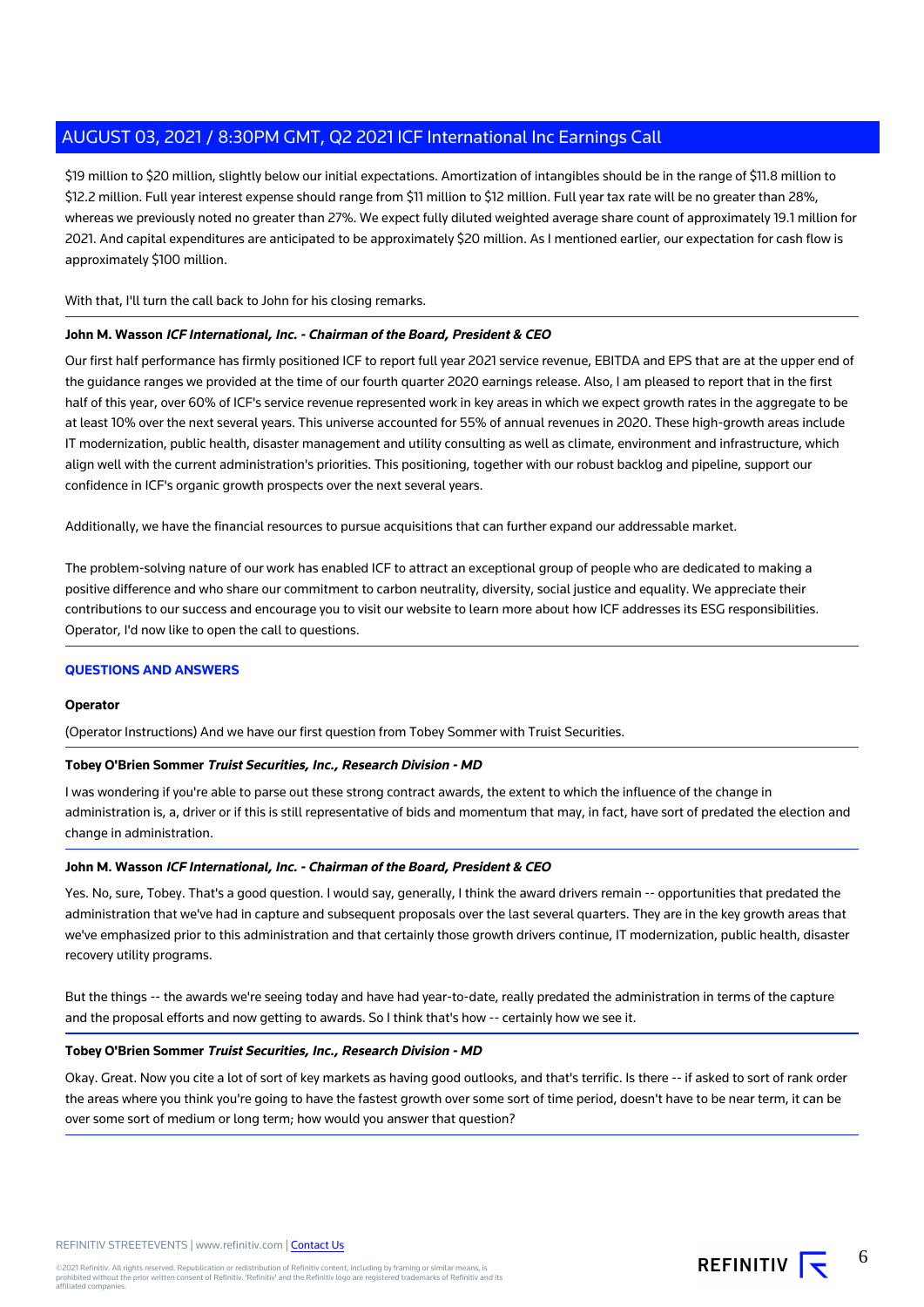\$19 million to \$20 million, slightly below our initial expectations. Amortization of intangibles should be in the range of \$11.8 million to \$12.2 million. Full year interest expense should range from \$11 million to \$12 million. Full year tax rate will be no greater than 28%, whereas we previously noted no greater than 27%. We expect fully diluted weighted average share count of approximately 19.1 million for 2021. And capital expenditures are anticipated to be approximately \$20 million. As I mentioned earlier, our expectation for cash flow is approximately \$100 million.

With that, I'll turn the call back to John for his closing remarks.

#### **John M. Wasson ICF International, Inc. - Chairman of the Board, President & CEO**

Our first half performance has firmly positioned ICF to report full year 2021 service revenue, EBITDA and EPS that are at the upper end of the guidance ranges we provided at the time of our fourth quarter 2020 earnings release. Also, I am pleased to report that in the first half of this year, over 60% of ICF's service revenue represented work in key areas in which we expect growth rates in the aggregate to be at least 10% over the next several years. This universe accounted for 55% of annual revenues in 2020. These high-growth areas include IT modernization, public health, disaster management and utility consulting as well as climate, environment and infrastructure, which align well with the current administration's priorities. This positioning, together with our robust backlog and pipeline, support our confidence in ICF's organic growth prospects over the next several years.

Additionally, we have the financial resources to pursue acquisitions that can further expand our addressable market.

The problem-solving nature of our work has enabled ICF to attract an exceptional group of people who are dedicated to making a positive difference and who share our commitment to carbon neutrality, diversity, social justice and equality. We appreciate their contributions to our success and encourage you to visit our website to learn more about how ICF addresses its ESG responsibilities. Operator, I'd now like to open the call to questions.

#### **QUESTIONS AND ANSWERS**

#### **Operator**

(Operator Instructions) And we have our first question from Tobey Sommer with Truist Securities.

#### **Tobey O'Brien Sommer Truist Securities, Inc., Research Division - MD**

I was wondering if you're able to parse out these strong contract awards, the extent to which the influence of the change in administration is, a, driver or if this is still representative of bids and momentum that may, in fact, have sort of predated the election and change in administration.

#### **John M. Wasson ICF International, Inc. - Chairman of the Board, President & CEO**

Yes. No, sure, Tobey. That's a good question. I would say, generally, I think the award drivers remain -- opportunities that predated the administration that we've had in capture and subsequent proposals over the last several quarters. They are in the key growth areas that we've emphasized prior to this administration and that certainly those growth drivers continue, IT modernization, public health, disaster recovery utility programs.

But the things -- the awards we're seeing today and have had year-to-date, really predated the administration in terms of the capture and the proposal efforts and now getting to awards. So I think that's how -- certainly how we see it.

#### **Tobey O'Brien Sommer Truist Securities, Inc., Research Division - MD**

Okay. Great. Now you cite a lot of sort of key markets as having good outlooks, and that's terrific. Is there -- if asked to sort of rank order the areas where you think you're going to have the fastest growth over some sort of time period, doesn't have to be near term, it can be over some sort of medium or long term; how would you answer that question?

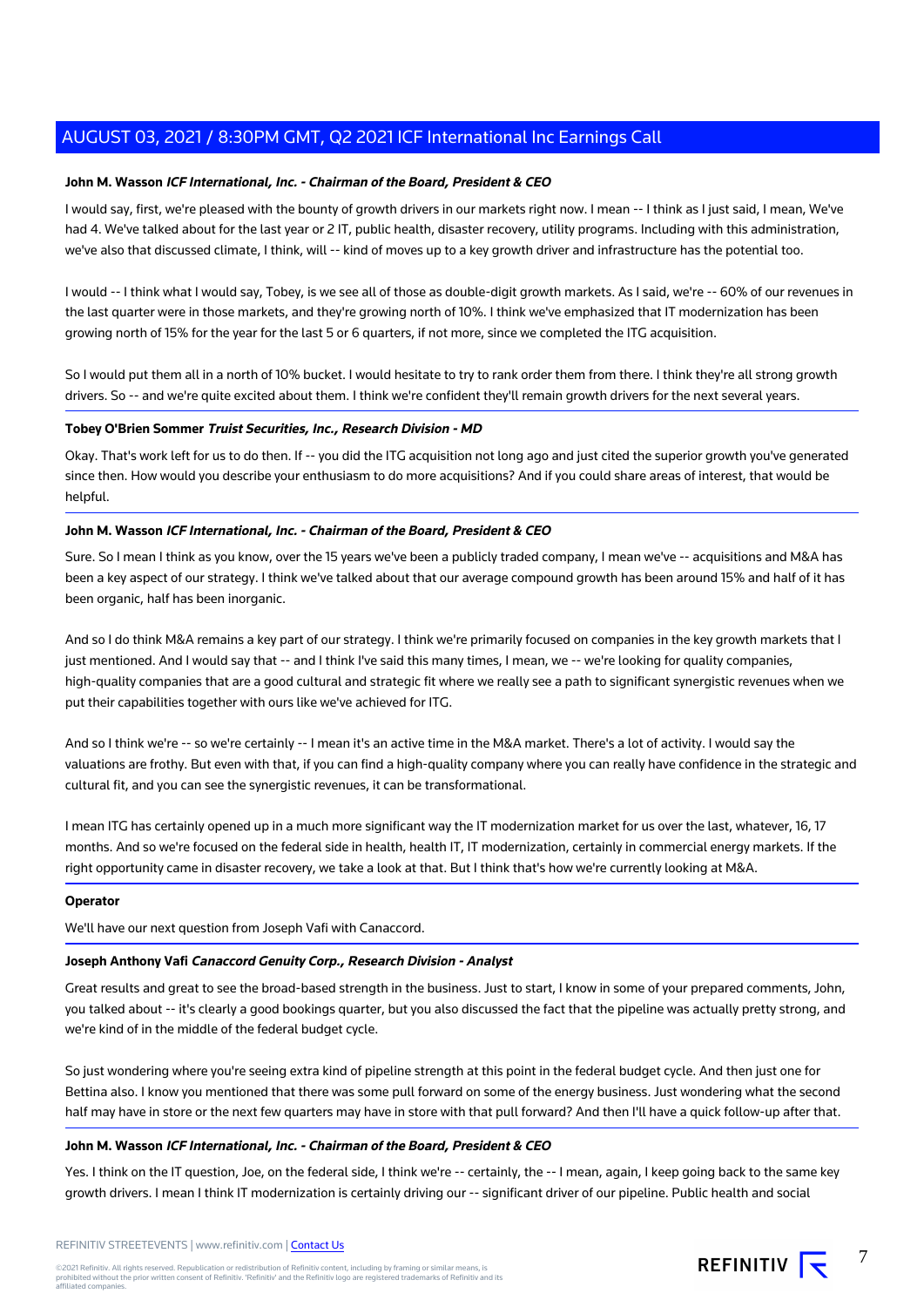#### **John M. Wasson ICF International, Inc. - Chairman of the Board, President & CEO**

I would say, first, we're pleased with the bounty of growth drivers in our markets right now. I mean -- I think as I just said, I mean, We've had 4. We've talked about for the last year or 2 IT, public health, disaster recovery, utility programs. Including with this administration, we've also that discussed climate, I think, will -- kind of moves up to a key growth driver and infrastructure has the potential too.

I would -- I think what I would say, Tobey, is we see all of those as double-digit growth markets. As I said, we're -- 60% of our revenues in the last quarter were in those markets, and they're growing north of 10%. I think we've emphasized that IT modernization has been growing north of 15% for the year for the last 5 or 6 quarters, if not more, since we completed the ITG acquisition.

So I would put them all in a north of 10% bucket. I would hesitate to try to rank order them from there. I think they're all strong growth drivers. So -- and we're quite excited about them. I think we're confident they'll remain growth drivers for the next several years.

#### **Tobey O'Brien Sommer Truist Securities, Inc., Research Division - MD**

Okay. That's work left for us to do then. If -- you did the ITG acquisition not long ago and just cited the superior growth you've generated since then. How would you describe your enthusiasm to do more acquisitions? And if you could share areas of interest, that would be helpful.

#### **John M. Wasson ICF International, Inc. - Chairman of the Board, President & CEO**

Sure. So I mean I think as you know, over the 15 years we've been a publicly traded company, I mean we've -- acquisitions and M&A has been a key aspect of our strategy. I think we've talked about that our average compound growth has been around 15% and half of it has been organic, half has been inorganic.

And so I do think M&A remains a key part of our strategy. I think we're primarily focused on companies in the key growth markets that I just mentioned. And I would say that -- and I think I've said this many times, I mean, we -- we're looking for quality companies, high-quality companies that are a good cultural and strategic fit where we really see a path to significant synergistic revenues when we put their capabilities together with ours like we've achieved for ITG.

And so I think we're -- so we're certainly -- I mean it's an active time in the M&A market. There's a lot of activity. I would say the valuations are frothy. But even with that, if you can find a high-quality company where you can really have confidence in the strategic and cultural fit, and you can see the synergistic revenues, it can be transformational.

I mean ITG has certainly opened up in a much more significant way the IT modernization market for us over the last, whatever, 16, 17 months. And so we're focused on the federal side in health, health IT, IT modernization, certainly in commercial energy markets. If the right opportunity came in disaster recovery, we take a look at that. But I think that's how we're currently looking at M&A.

#### **Operator**

We'll have our next question from Joseph Vafi with Canaccord.

#### **Joseph Anthony Vafi Canaccord Genuity Corp., Research Division - Analyst**

Great results and great to see the broad-based strength in the business. Just to start, I know in some of your prepared comments, John, you talked about -- it's clearly a good bookings quarter, but you also discussed the fact that the pipeline was actually pretty strong, and we're kind of in the middle of the federal budget cycle.

So just wondering where you're seeing extra kind of pipeline strength at this point in the federal budget cycle. And then just one for Bettina also. I know you mentioned that there was some pull forward on some of the energy business. Just wondering what the second half may have in store or the next few quarters may have in store with that pull forward? And then I'll have a quick follow-up after that.

#### **John M. Wasson ICF International, Inc. - Chairman of the Board, President & CEO**

Yes. I think on the IT question, Joe, on the federal side, I think we're -- certainly, the -- I mean, again, I keep going back to the same key growth drivers. I mean I think IT modernization is certainly driving our -- significant driver of our pipeline. Public health and social

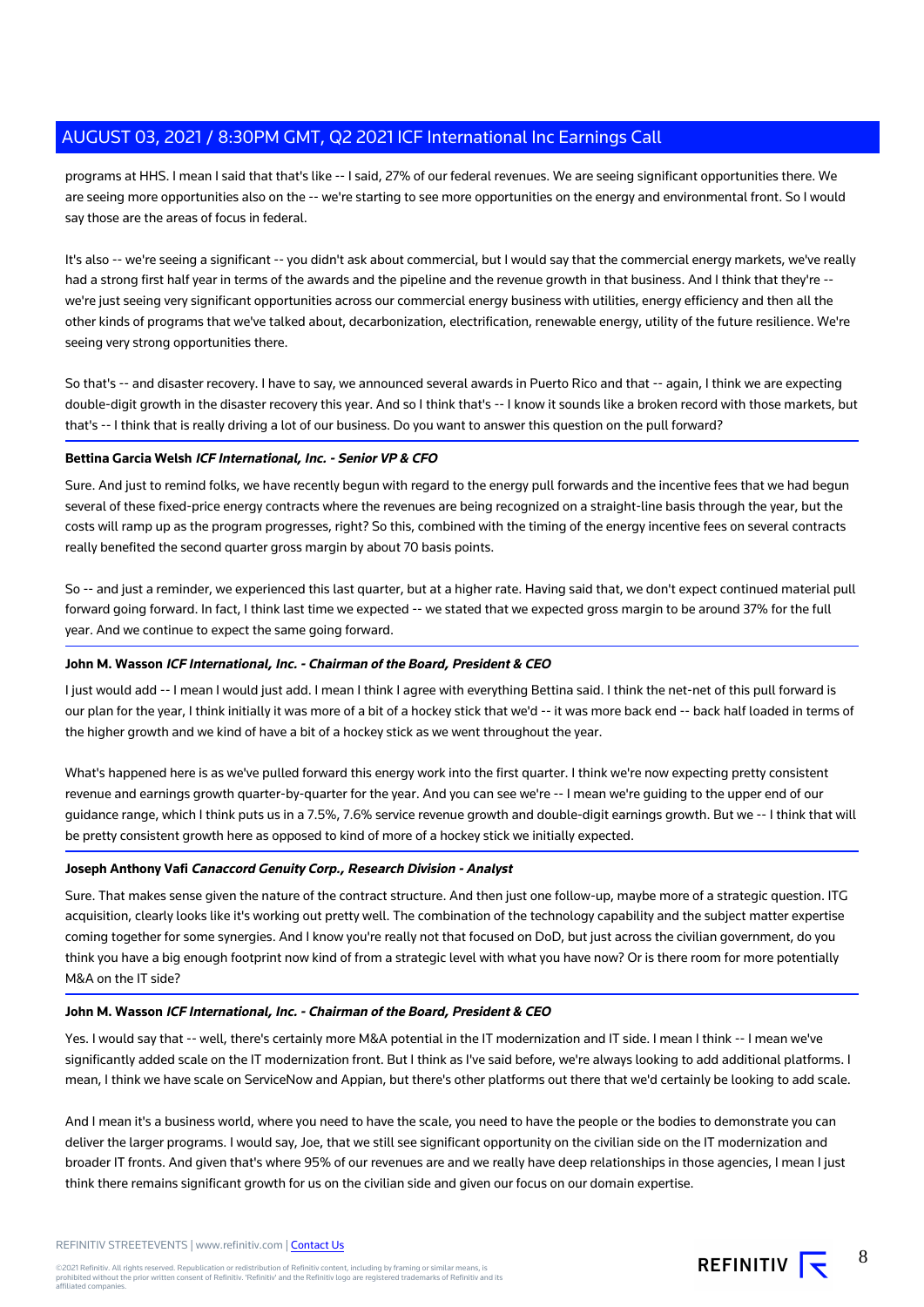programs at HHS. I mean I said that that's like -- I said, 27% of our federal revenues. We are seeing significant opportunities there. We are seeing more opportunities also on the -- we're starting to see more opportunities on the energy and environmental front. So I would say those are the areas of focus in federal.

It's also -- we're seeing a significant -- you didn't ask about commercial, but I would say that the commercial energy markets, we've really had a strong first half year in terms of the awards and the pipeline and the revenue growth in that business. And I think that they're - we're just seeing very significant opportunities across our commercial energy business with utilities, energy efficiency and then all the other kinds of programs that we've talked about, decarbonization, electrification, renewable energy, utility of the future resilience. We're seeing very strong opportunities there.

So that's -- and disaster recovery. I have to say, we announced several awards in Puerto Rico and that -- again, I think we are expecting double-digit growth in the disaster recovery this year. And so I think that's -- I know it sounds like a broken record with those markets, but that's -- I think that is really driving a lot of our business. Do you want to answer this question on the pull forward?

#### **Bettina Garcia Welsh ICF International, Inc. - Senior VP & CFO**

Sure. And just to remind folks, we have recently begun with regard to the energy pull forwards and the incentive fees that we had begun several of these fixed-price energy contracts where the revenues are being recognized on a straight-line basis through the year, but the costs will ramp up as the program progresses, right? So this, combined with the timing of the energy incentive fees on several contracts really benefited the second quarter gross margin by about 70 basis points.

So -- and just a reminder, we experienced this last quarter, but at a higher rate. Having said that, we don't expect continued material pull forward going forward. In fact, I think last time we expected -- we stated that we expected gross margin to be around 37% for the full year. And we continue to expect the same going forward.

#### **John M. Wasson ICF International, Inc. - Chairman of the Board, President & CEO**

I just would add -- I mean I would just add. I mean I think I agree with everything Bettina said. I think the net-net of this pull forward is our plan for the year, I think initially it was more of a bit of a hockey stick that we'd -- it was more back end -- back half loaded in terms of the higher growth and we kind of have a bit of a hockey stick as we went throughout the year.

What's happened here is as we've pulled forward this energy work into the first quarter. I think we're now expecting pretty consistent revenue and earnings growth quarter-by-quarter for the year. And you can see we're -- I mean we're guiding to the upper end of our guidance range, which I think puts us in a 7.5%, 7.6% service revenue growth and double-digit earnings growth. But we -- I think that will be pretty consistent growth here as opposed to kind of more of a hockey stick we initially expected.

#### **Joseph Anthony Vafi Canaccord Genuity Corp., Research Division - Analyst**

Sure. That makes sense given the nature of the contract structure. And then just one follow-up, maybe more of a strategic question. ITG acquisition, clearly looks like it's working out pretty well. The combination of the technology capability and the subject matter expertise coming together for some synergies. And I know you're really not that focused on DoD, but just across the civilian government, do you think you have a big enough footprint now kind of from a strategic level with what you have now? Or is there room for more potentially M&A on the IT side?

#### **John M. Wasson ICF International, Inc. - Chairman of the Board, President & CEO**

Yes. I would say that -- well, there's certainly more M&A potential in the IT modernization and IT side. I mean I think -- I mean we've significantly added scale on the IT modernization front. But I think as I've said before, we're always looking to add additional platforms. I mean, I think we have scale on ServiceNow and Appian, but there's other platforms out there that we'd certainly be looking to add scale.

And I mean it's a business world, where you need to have the scale, you need to have the people or the bodies to demonstrate you can deliver the larger programs. I would say, Joe, that we still see significant opportunity on the civilian side on the IT modernization and broader IT fronts. And given that's where 95% of our revenues are and we really have deep relationships in those agencies, I mean I just think there remains significant growth for us on the civilian side and given our focus on our domain expertise.

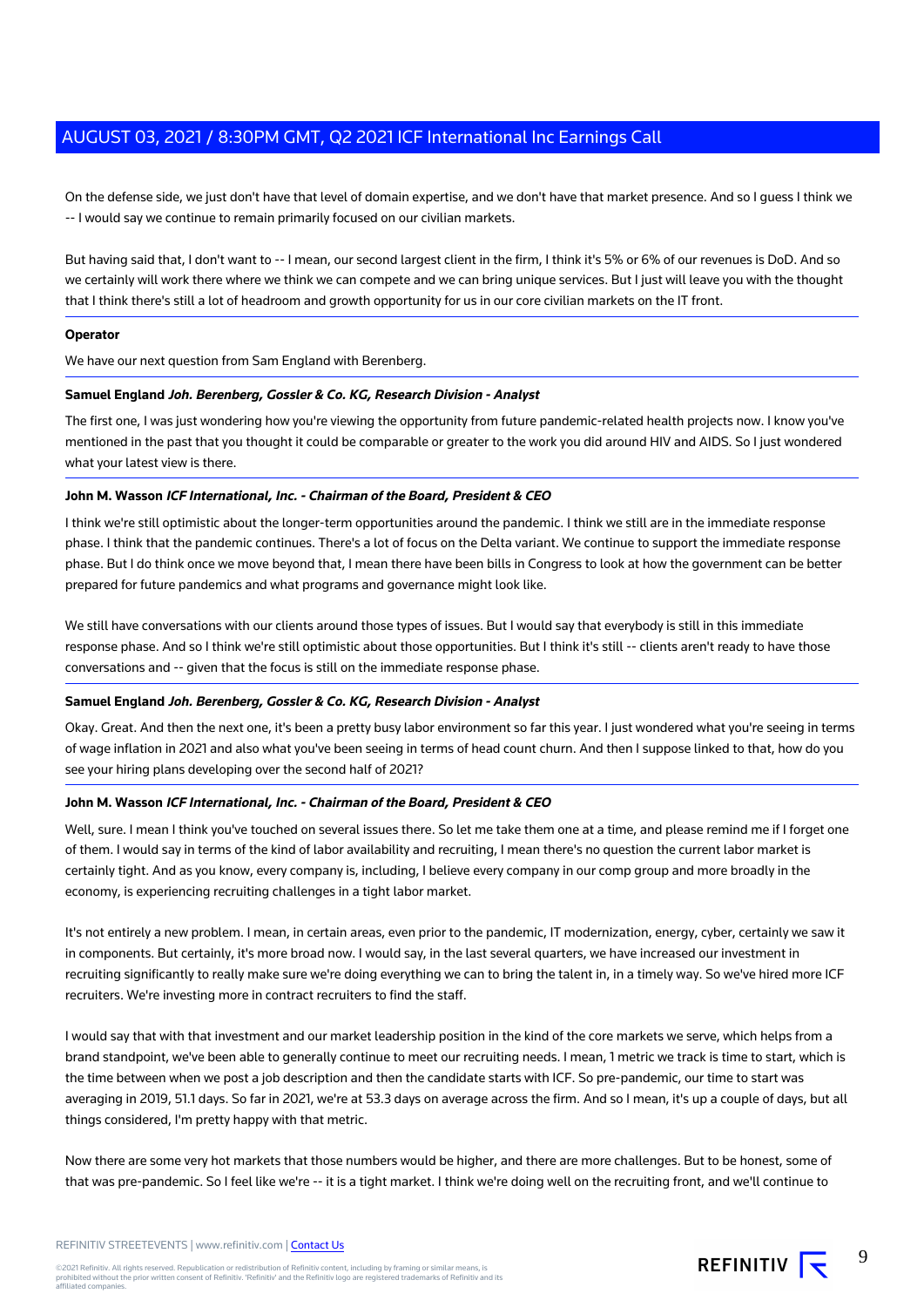On the defense side, we just don't have that level of domain expertise, and we don't have that market presence. And so I guess I think we -- I would say we continue to remain primarily focused on our civilian markets.

But having said that, I don't want to -- I mean, our second largest client in the firm, I think it's 5% or 6% of our revenues is DoD. And so we certainly will work there where we think we can compete and we can bring unique services. But I just will leave you with the thought that I think there's still a lot of headroom and growth opportunity for us in our core civilian markets on the IT front.

#### **Operator**

We have our next question from Sam England with Berenberg.

#### **Samuel England Joh. Berenberg, Gossler & Co. KG, Research Division - Analyst**

The first one, I was just wondering how you're viewing the opportunity from future pandemic-related health projects now. I know you've mentioned in the past that you thought it could be comparable or greater to the work you did around HIV and AIDS. So I just wondered what your latest view is there.

#### **John M. Wasson ICF International, Inc. - Chairman of the Board, President & CEO**

I think we're still optimistic about the longer-term opportunities around the pandemic. I think we still are in the immediate response phase. I think that the pandemic continues. There's a lot of focus on the Delta variant. We continue to support the immediate response phase. But I do think once we move beyond that, I mean there have been bills in Congress to look at how the government can be better prepared for future pandemics and what programs and governance might look like.

We still have conversations with our clients around those types of issues. But I would say that everybody is still in this immediate response phase. And so I think we're still optimistic about those opportunities. But I think it's still -- clients aren't ready to have those conversations and -- given that the focus is still on the immediate response phase.

#### **Samuel England Joh. Berenberg, Gossler & Co. KG, Research Division - Analyst**

Okay. Great. And then the next one, it's been a pretty busy labor environment so far this year. I just wondered what you're seeing in terms of wage inflation in 2021 and also what you've been seeing in terms of head count churn. And then I suppose linked to that, how do you see your hiring plans developing over the second half of 2021?

#### **John M. Wasson ICF International, Inc. - Chairman of the Board, President & CEO**

Well, sure. I mean I think you've touched on several issues there. So let me take them one at a time, and please remind me if I forget one of them. I would say in terms of the kind of labor availability and recruiting, I mean there's no question the current labor market is certainly tight. And as you know, every company is, including, I believe every company in our comp group and more broadly in the economy, is experiencing recruiting challenges in a tight labor market.

It's not entirely a new problem. I mean, in certain areas, even prior to the pandemic, IT modernization, energy, cyber, certainly we saw it in components. But certainly, it's more broad now. I would say, in the last several quarters, we have increased our investment in recruiting significantly to really make sure we're doing everything we can to bring the talent in, in a timely way. So we've hired more ICF recruiters. We're investing more in contract recruiters to find the staff.

I would say that with that investment and our market leadership position in the kind of the core markets we serve, which helps from a brand standpoint, we've been able to generally continue to meet our recruiting needs. I mean, 1 metric we track is time to start, which is the time between when we post a job description and then the candidate starts with ICF. So pre-pandemic, our time to start was averaging in 2019, 51.1 days. So far in 2021, we're at 53.3 days on average across the firm. And so I mean, it's up a couple of days, but all things considered, I'm pretty happy with that metric.

Now there are some very hot markets that those numbers would be higher, and there are more challenges. But to be honest, some of that was pre-pandemic. So I feel like we're -- it is a tight market. I think we're doing well on the recruiting front, and we'll continue to

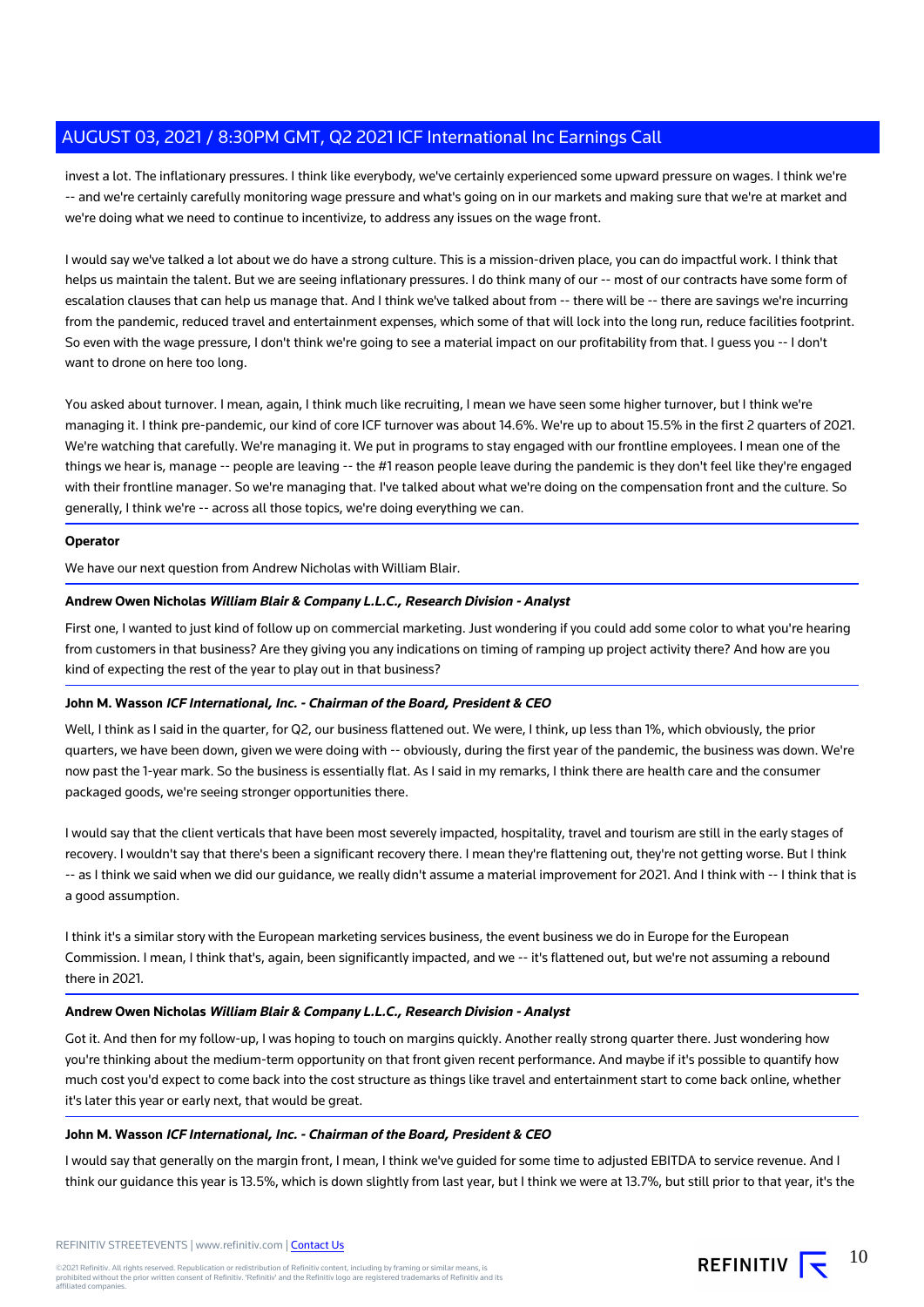invest a lot. The inflationary pressures. I think like everybody, we've certainly experienced some upward pressure on wages. I think we're -- and we're certainly carefully monitoring wage pressure and what's going on in our markets and making sure that we're at market and we're doing what we need to continue to incentivize, to address any issues on the wage front.

I would say we've talked a lot about we do have a strong culture. This is a mission-driven place, you can do impactful work. I think that helps us maintain the talent. But we are seeing inflationary pressures. I do think many of our -- most of our contracts have some form of escalation clauses that can help us manage that. And I think we've talked about from -- there will be -- there are savings we're incurring from the pandemic, reduced travel and entertainment expenses, which some of that will lock into the long run, reduce facilities footprint. So even with the wage pressure, I don't think we're going to see a material impact on our profitability from that. I guess you -- I don't want to drone on here too long.

You asked about turnover. I mean, again, I think much like recruiting, I mean we have seen some higher turnover, but I think we're managing it. I think pre-pandemic, our kind of core ICF turnover was about 14.6%. We're up to about 15.5% in the first 2 quarters of 2021. We're watching that carefully. We're managing it. We put in programs to stay engaged with our frontline employees. I mean one of the things we hear is, manage -- people are leaving -- the #1 reason people leave during the pandemic is they don't feel like they're engaged with their frontline manager. So we're managing that. I've talked about what we're doing on the compensation front and the culture. So generally, I think we're -- across all those topics, we're doing everything we can.

#### **Operator**

We have our next question from Andrew Nicholas with William Blair.

#### **Andrew Owen Nicholas William Blair & Company L.L.C., Research Division - Analyst**

First one, I wanted to just kind of follow up on commercial marketing. Just wondering if you could add some color to what you're hearing from customers in that business? Are they giving you any indications on timing of ramping up project activity there? And how are you kind of expecting the rest of the year to play out in that business?

#### **John M. Wasson ICF International, Inc. - Chairman of the Board, President & CEO**

Well, I think as I said in the quarter, for Q2, our business flattened out. We were, I think, up less than 1%, which obviously, the prior quarters, we have been down, given we were doing with -- obviously, during the first year of the pandemic, the business was down. We're now past the 1-year mark. So the business is essentially flat. As I said in my remarks, I think there are health care and the consumer packaged goods, we're seeing stronger opportunities there.

I would say that the client verticals that have been most severely impacted, hospitality, travel and tourism are still in the early stages of recovery. I wouldn't say that there's been a significant recovery there. I mean they're flattening out, they're not getting worse. But I think -- as I think we said when we did our guidance, we really didn't assume a material improvement for 2021. And I think with -- I think that is a good assumption.

I think it's a similar story with the European marketing services business, the event business we do in Europe for the European Commission. I mean, I think that's, again, been significantly impacted, and we -- it's flattened out, but we're not assuming a rebound there in 2021.

#### **Andrew Owen Nicholas William Blair & Company L.L.C., Research Division - Analyst**

Got it. And then for my follow-up, I was hoping to touch on margins quickly. Another really strong quarter there. Just wondering how you're thinking about the medium-term opportunity on that front given recent performance. And maybe if it's possible to quantify how much cost you'd expect to come back into the cost structure as things like travel and entertainment start to come back online, whether it's later this year or early next, that would be great.

#### **John M. Wasson ICF International, Inc. - Chairman of the Board, President & CEO**

I would say that generally on the margin front, I mean, I think we've guided for some time to adjusted EBITDA to service revenue. And I think our guidance this year is 13.5%, which is down slightly from last year, but I think we were at 13.7%, but still prior to that year, it's the

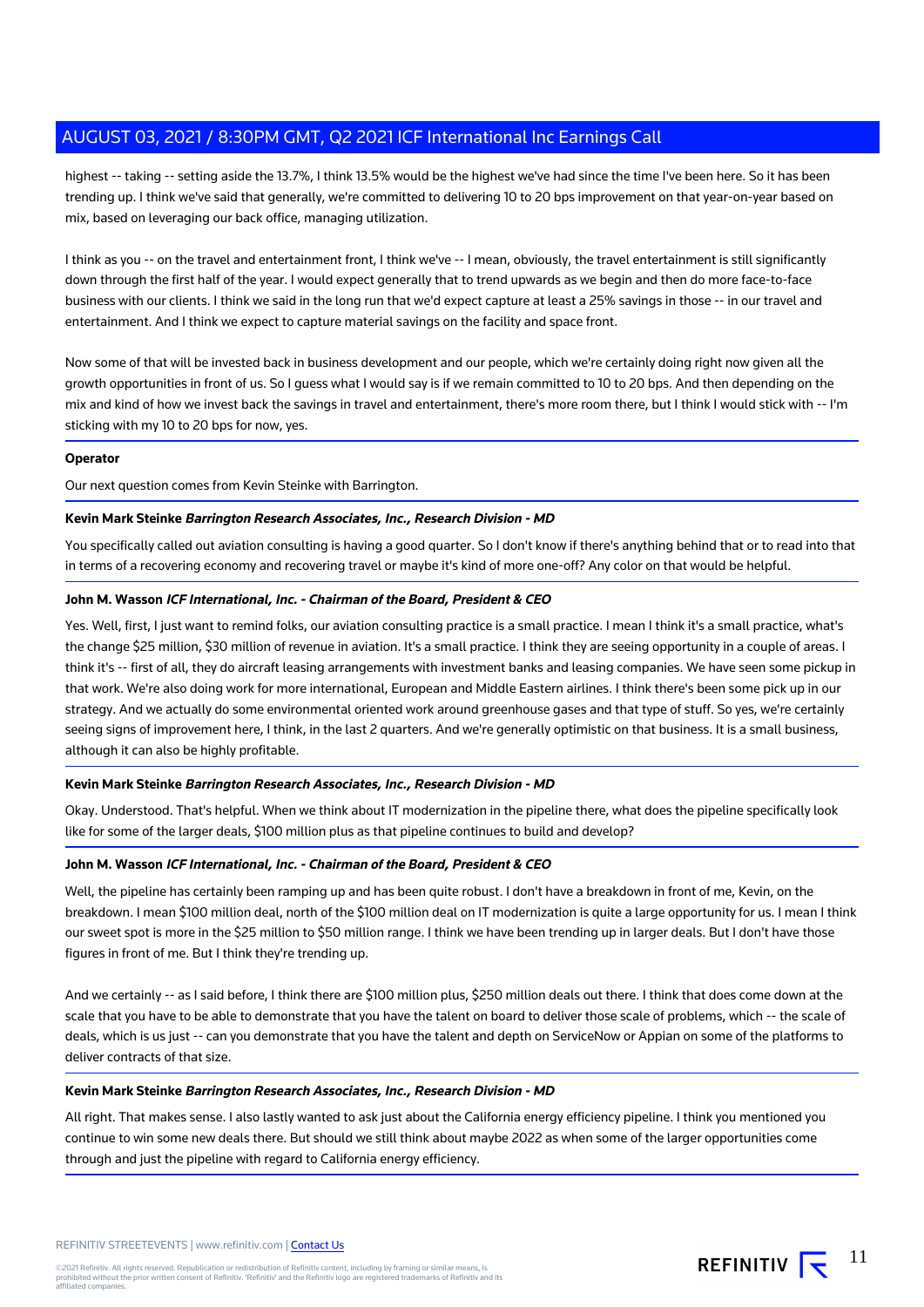highest -- taking -- setting aside the 13.7%, I think 13.5% would be the highest we've had since the time I've been here. So it has been trending up. I think we've said that generally, we're committed to delivering 10 to 20 bps improvement on that year-on-year based on mix, based on leveraging our back office, managing utilization.

I think as you -- on the travel and entertainment front, I think we've -- I mean, obviously, the travel entertainment is still significantly down through the first half of the year. I would expect generally that to trend upwards as we begin and then do more face-to-face business with our clients. I think we said in the long run that we'd expect capture at least a 25% savings in those -- in our travel and entertainment. And I think we expect to capture material savings on the facility and space front.

Now some of that will be invested back in business development and our people, which we're certainly doing right now given all the growth opportunities in front of us. So I guess what I would say is if we remain committed to 10 to 20 bps. And then depending on the mix and kind of how we invest back the savings in travel and entertainment, there's more room there, but I think I would stick with -- I'm sticking with my 10 to 20 bps for now, yes.

#### **Operator**

Our next question comes from Kevin Steinke with Barrington.

#### **Kevin Mark Steinke Barrington Research Associates, Inc., Research Division - MD**

You specifically called out aviation consulting is having a good quarter. So I don't know if there's anything behind that or to read into that in terms of a recovering economy and recovering travel or maybe it's kind of more one-off? Any color on that would be helpful.

#### **John M. Wasson ICF International, Inc. - Chairman of the Board, President & CEO**

Yes. Well, first, I just want to remind folks, our aviation consulting practice is a small practice. I mean I think it's a small practice, what's the change \$25 million, \$30 million of revenue in aviation. It's a small practice. I think they are seeing opportunity in a couple of areas. I think it's -- first of all, they do aircraft leasing arrangements with investment banks and leasing companies. We have seen some pickup in that work. We're also doing work for more international, European and Middle Eastern airlines. I think there's been some pick up in our strategy. And we actually do some environmental oriented work around greenhouse gases and that type of stuff. So yes, we're certainly seeing signs of improvement here, I think, in the last 2 quarters. And we're generally optimistic on that business. It is a small business, although it can also be highly profitable.

#### **Kevin Mark Steinke Barrington Research Associates, Inc., Research Division - MD**

Okay. Understood. That's helpful. When we think about IT modernization in the pipeline there, what does the pipeline specifically look like for some of the larger deals, \$100 million plus as that pipeline continues to build and develop?

#### **John M. Wasson ICF International, Inc. - Chairman of the Board, President & CEO**

Well, the pipeline has certainly been ramping up and has been quite robust. I don't have a breakdown in front of me, Kevin, on the breakdown. I mean \$100 million deal, north of the \$100 million deal on IT modernization is quite a large opportunity for us. I mean I think our sweet spot is more in the \$25 million to \$50 million range. I think we have been trending up in larger deals. But I don't have those figures in front of me. But I think they're trending up.

And we certainly -- as I said before, I think there are \$100 million plus, \$250 million deals out there. I think that does come down at the scale that you have to be able to demonstrate that you have the talent on board to deliver those scale of problems, which -- the scale of deals, which is us just -- can you demonstrate that you have the talent and depth on ServiceNow or Appian on some of the platforms to deliver contracts of that size.

#### **Kevin Mark Steinke Barrington Research Associates, Inc., Research Division - MD**

All right. That makes sense. I also lastly wanted to ask just about the California energy efficiency pipeline. I think you mentioned you continue to win some new deals there. But should we still think about maybe 2022 as when some of the larger opportunities come through and just the pipeline with regard to California energy efficiency.

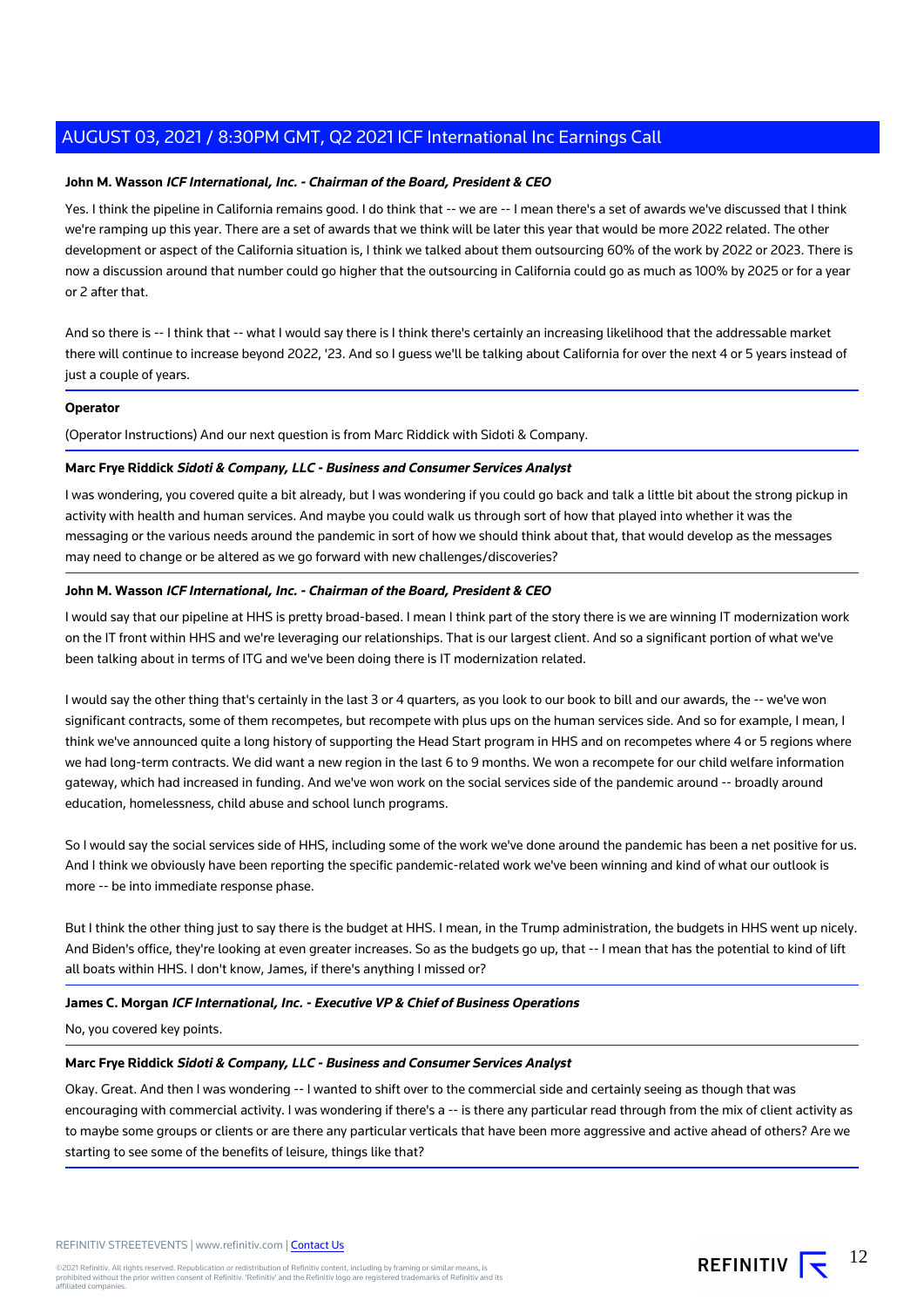#### **John M. Wasson ICF International, Inc. - Chairman of the Board, President & CEO**

Yes. I think the pipeline in California remains good. I do think that -- we are -- I mean there's a set of awards we've discussed that I think we're ramping up this year. There are a set of awards that we think will be later this year that would be more 2022 related. The other development or aspect of the California situation is, I think we talked about them outsourcing 60% of the work by 2022 or 2023. There is now a discussion around that number could go higher that the outsourcing in California could go as much as 100% by 2025 or for a year or 2 after that.

And so there is -- I think that -- what I would say there is I think there's certainly an increasing likelihood that the addressable market there will continue to increase beyond 2022, '23. And so I guess we'll be talking about California for over the next 4 or 5 years instead of just a couple of years.

#### **Operator**

(Operator Instructions) And our next question is from Marc Riddick with Sidoti & Company.

#### **Marc Frye Riddick Sidoti & Company, LLC - Business and Consumer Services Analyst**

I was wondering, you covered quite a bit already, but I was wondering if you could go back and talk a little bit about the strong pickup in activity with health and human services. And maybe you could walk us through sort of how that played into whether it was the messaging or the various needs around the pandemic in sort of how we should think about that, that would develop as the messages may need to change or be altered as we go forward with new challenges/discoveries?

#### **John M. Wasson ICF International, Inc. - Chairman of the Board, President & CEO**

I would say that our pipeline at HHS is pretty broad-based. I mean I think part of the story there is we are winning IT modernization work on the IT front within HHS and we're leveraging our relationships. That is our largest client. And so a significant portion of what we've been talking about in terms of ITG and we've been doing there is IT modernization related.

I would say the other thing that's certainly in the last 3 or 4 quarters, as you look to our book to bill and our awards, the -- we've won significant contracts, some of them recompetes, but recompete with plus ups on the human services side. And so for example, I mean, I think we've announced quite a long history of supporting the Head Start program in HHS and on recompetes where 4 or 5 regions where we had long-term contracts. We did want a new region in the last 6 to 9 months. We won a recompete for our child welfare information gateway, which had increased in funding. And we've won work on the social services side of the pandemic around -- broadly around education, homelessness, child abuse and school lunch programs.

So I would say the social services side of HHS, including some of the work we've done around the pandemic has been a net positive for us. And I think we obviously have been reporting the specific pandemic-related work we've been winning and kind of what our outlook is more -- be into immediate response phase.

But I think the other thing just to say there is the budget at HHS. I mean, in the Trump administration, the budgets in HHS went up nicely. And Biden's office, they're looking at even greater increases. So as the budgets go up, that -- I mean that has the potential to kind of lift all boats within HHS. I don't know, James, if there's anything I missed or?

#### **James C. Morgan ICF International, Inc. - Executive VP & Chief of Business Operations**

No, you covered key points.

#### **Marc Frye Riddick Sidoti & Company, LLC - Business and Consumer Services Analyst**

Okay. Great. And then I was wondering -- I wanted to shift over to the commercial side and certainly seeing as though that was encouraging with commercial activity. I was wondering if there's a -- is there any particular read through from the mix of client activity as to maybe some groups or clients or are there any particular verticals that have been more aggressive and active ahead of others? Are we starting to see some of the benefits of leisure, things like that?